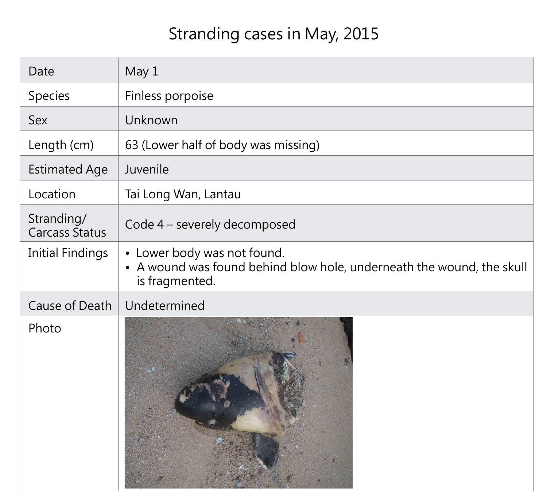# Stranding cases in May, 2015

| Date                                | May 1                                                                            |
|-------------------------------------|----------------------------------------------------------------------------------|
| Species                             | Finless porpoise                                                                 |
| <b>Sex</b>                          | Unknown                                                                          |
| Length (cm)                         | 63 (Lower half of body was missing)                                              |
| <b>Estimated Age</b>                | Juvenile                                                                         |
| Location                            | Tai Long Wan, Lantau                                                             |
| Stranding/<br><b>Carcass Status</b> | Code 4 – severely decomposed                                                     |
| <b>Initial Findings</b>             | • Lower body was not found.<br>• A wound was found behind blow<br>is fragmented. |
| <b>Cause of Death</b>               | Undetermined                                                                     |
| Photo                               |                                                                                  |

| sing)                   |  |  |
|-------------------------|--|--|
|                         |  |  |
|                         |  |  |
| $\overline{\mathsf{d}}$ |  |  |

# blow hole, underneath the wound, the skull

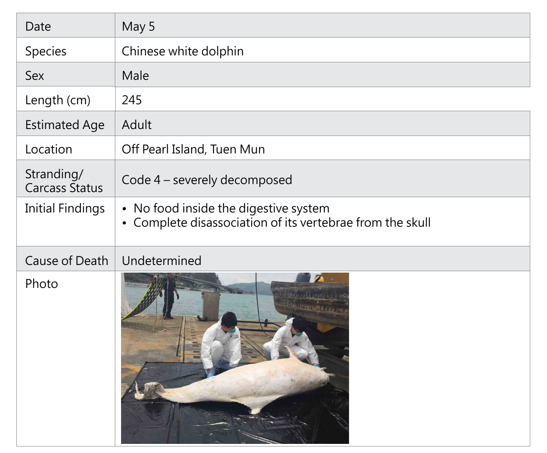| Date                                | May 5                                                                                              |
|-------------------------------------|----------------------------------------------------------------------------------------------------|
| <b>Species</b>                      | Chinese white dolphin                                                                              |
| Sex                                 | Male                                                                                               |
| Length (cm)                         | 245                                                                                                |
| <b>Estimated Age</b>                | Adult                                                                                              |
| Location                            | Off Pearl Island, Tuen Mun                                                                         |
| Stranding/<br><b>Carcass Status</b> | Code 4 – severely decomposed                                                                       |
| <b>Initial Findings</b>             | • No food inside the digestive system<br>• Complete disassociation of its vertebrae from the skull |
| Cause of Death                      | Undetermined                                                                                       |
| Photo                               |                                                                                                    |

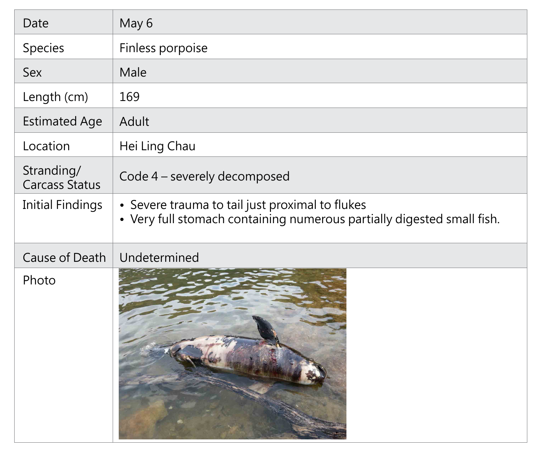| Date                                | May 6                                                                 |
|-------------------------------------|-----------------------------------------------------------------------|
| Species                             | Finless porpoise                                                      |
| <b>Sex</b>                          | Male                                                                  |
| Length (cm)                         | 169                                                                   |
| <b>Estimated Age</b>                | Adult                                                                 |
| Location                            | Hei Ling Chau                                                         |
| Stranding/<br><b>Carcass Status</b> | Code 4 – severely decomposed                                          |
| <b>Initial Findings</b>             | • Severe trauma to tail just prox<br>• Very full stomach containing i |
| <b>Cause of Death</b>               | Undetermined                                                          |
| Photo                               |                                                                       |

#### **ximal to flukes** numerous partially digested small fish.

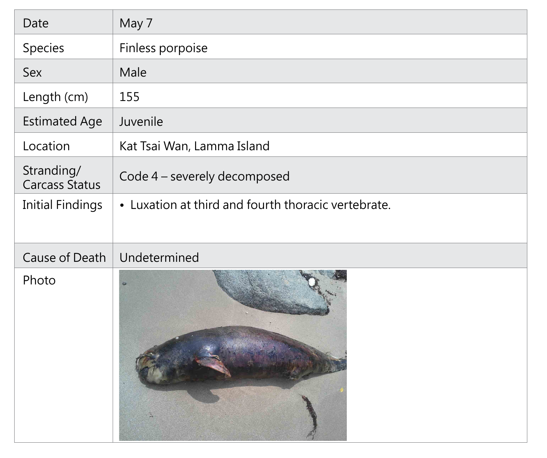| Date                                | May 7                              |
|-------------------------------------|------------------------------------|
| Species                             | Finless porpoise                   |
| <b>Sex</b>                          | Male                               |
| Length (cm)                         | 155                                |
| <b>Estimated Age</b>                | Juvenile                           |
| Location                            | Kat Tsai Wan, Lamma Island         |
| Stranding/<br><b>Carcass Status</b> | Code 4 – severely decomposed       |
| <b>Initial Findings</b>             | • Luxation at third and fourth the |
| <b>Cause of Death</b>               | Undetermined                       |
| Photo                               |                                    |

horacic vertebrate.

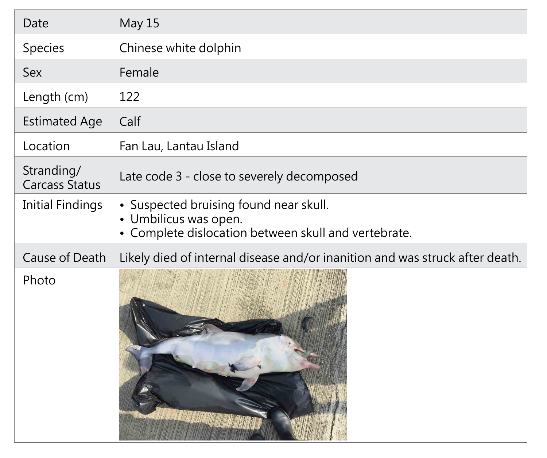| Date                                | May 15                                                                                   |
|-------------------------------------|------------------------------------------------------------------------------------------|
| <b>Species</b>                      | Chinese white dolphin                                                                    |
| <b>Sex</b>                          | Female                                                                                   |
| Length (cm)                         | 122                                                                                      |
| <b>Estimated Age</b>                | Calf                                                                                     |
| Location                            | Fan Lau, Lantau Island                                                                   |
| Stranding/<br><b>Carcass Status</b> | Late code 3 - close to severely o                                                        |
| <b>Initial Findings</b>             | · Suspected bruising found nea<br>· Umbilicus was open.<br>• Complete dislocation betwee |
| <b>Cause of Death</b>               | Likely died of internal disease ar                                                       |
| Photo                               |                                                                                          |

### decomposed

ar skull.

en skull and vertebrate.

## nd/or inanition and was struck after death.